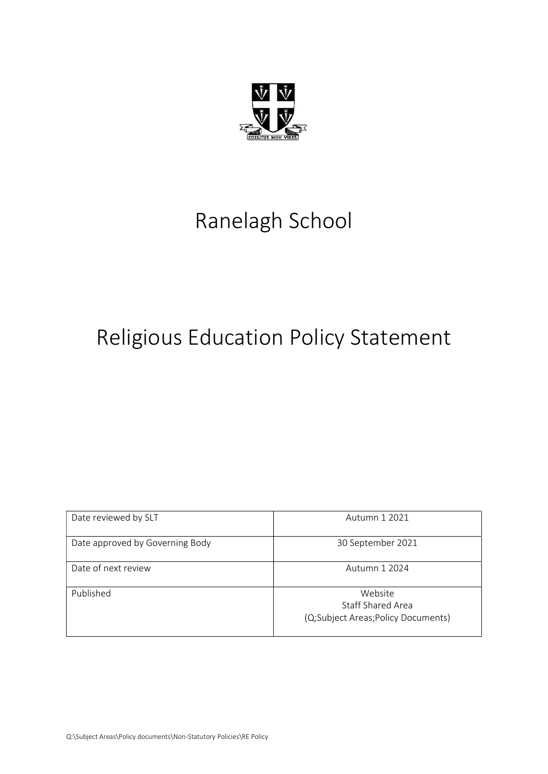

# Ranelagh School

# Religious Education Policy Statement

| Date reviewed by SLT            | Autumn 1 2021                                                             |
|---------------------------------|---------------------------------------------------------------------------|
| Date approved by Governing Body | 30 September 2021                                                         |
| Date of next review             | Autumn 1 2024                                                             |
| Published                       | Website<br><b>Staff Shared Area</b><br>(Q;Subject Areas;Policy Documents) |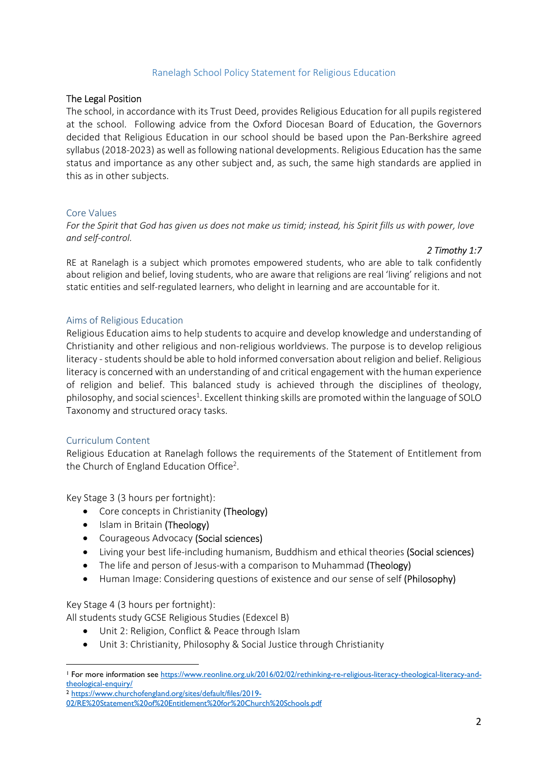### Ranelagh School Policy Statement for Religious Education

### The Legal Position

The school, in accordance with its Trust Deed, provides Religious Education for all pupils registered at the school. Following advice from the Oxford Diocesan Board of Education, the Governors decided that Religious Education in our school should be based upon the Pan-Berkshire agreed syllabus (2018-2023) as well as following national developments. Religious Education has the same status and importance as any other subject and, as such, the same high standards are applied in this as in other subjects.

#### Core Values

For the Spirit that God has given us does not make us timid; instead, his Spirit fills us with power, love and self-control.

#### 2 Timothy 1:7

RE at Ranelagh is a subject which promotes empowered students, who are able to talk confidently about religion and belief, loving students, who are aware that religions are real 'living' religions and not static entities and self-regulated learners, who delight in learning and are accountable for it.

#### Aims of Religious Education

Religious Education aims to help students to acquire and develop knowledge and understanding of Christianity and other religious and non-religious worldviews. The purpose is to develop religious literacy - students should be able to hold informed conversation about religion and belief. Religious literacy is concerned with an understanding of and critical engagement with the human experience of religion and belief. This balanced study is achieved through the disciplines of theology, philosophy, and social sciences<sup>1</sup>. Excellent thinking skills are promoted within the language of SOLO Taxonomy and structured oracy tasks.

#### Curriculum Content

 $\overline{a}$ 

Religious Education at Ranelagh follows the requirements of the Statement of Entitlement from the Church of England Education Office<sup>2</sup>.

Key Stage 3 (3 hours per fortnight):

- Core concepts in Christianity (Theology)
- Islam in Britain (Theology)
- Courageous Advocacy (Social sciences)
- Living your best life-including humanism, Buddhism and ethical theories (Social sciences)
- The life and person of Jesus-with a comparison to Muhammad (Theology)
- Human Image: Considering questions of existence and our sense of self (Philosophy)

Key Stage 4 (3 hours per fortnight):

All students study GCSE Religious Studies (Edexcel B)

- Unit 2: Religion, Conflict & Peace through Islam
- Unit 3: Christianity, Philosophy & Social Justice through Christianity

<sup>2</sup> https://www.churchofengland.org/sites/default/files/2019-

<sup>&</sup>lt;sup>1</sup> For more information see https://www.reonline.org.uk/2016/02/02/rethinking-re-religious-literacy-theological-literacy-andtheological-enquiry/

<sup>02/</sup>RE%20Statement%20of%20Entitlement%20for%20Church%20Schools.pdf